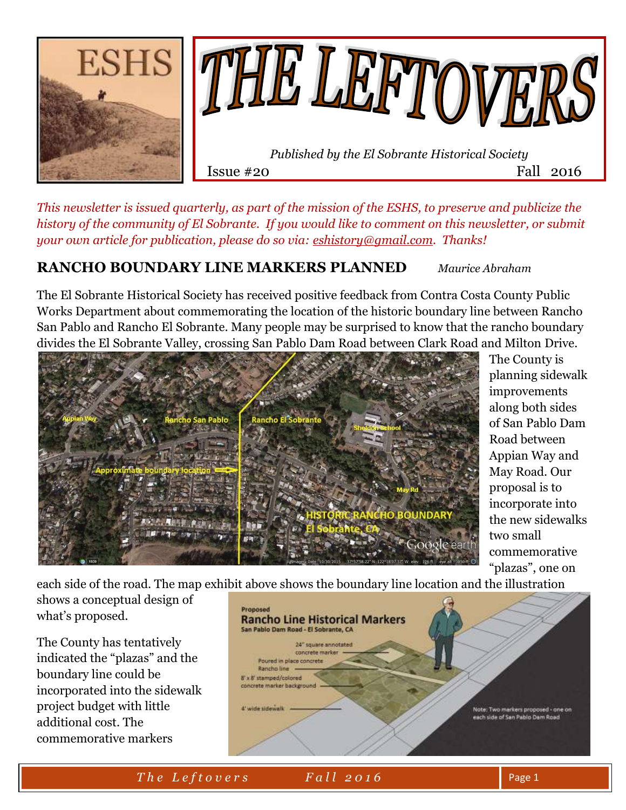

*This newsletter is issued quarterly, as part of the mission of the ESHS, to preserve and publicize the history of the community of El Sobrante. If you would like to comment on this newsletter, or submit your own article for publication, please do so via: [eshistory@gmail.com.](mailto:eshistory@gmail.com) Thanks!*

### **RANCHO BOUNDARY LINE MARKERS PLANNED** *Maurice Abraham*

The El Sobrante Historical Society has received positive feedback from Contra Costa County Public Works Department about commemorating the location of the historic boundary line between Rancho San Pablo and Rancho El Sobrante. Many people may be surprised to know that the rancho boundary divides the El Sobrante Valley, crossing San Pablo Dam Road between Clark Road and Milton Drive.



The County is planning sidewalk improvements along both sides of San Pablo Dam Road between Appian Way and May Road. Our proposal is to incorporate into the new sidewalks two small commemorative "plazas", one on

each side of the road. The map exhibit above shows the boundary line location and the illustration

shows a conceptual design of what's proposed.

The County has tentatively indicated the "plazas" and the boundary line could be incorporated into the sidewalk project budget with little additional cost. The commemorative markers



*The Leftovers* Fall 2016 Page 1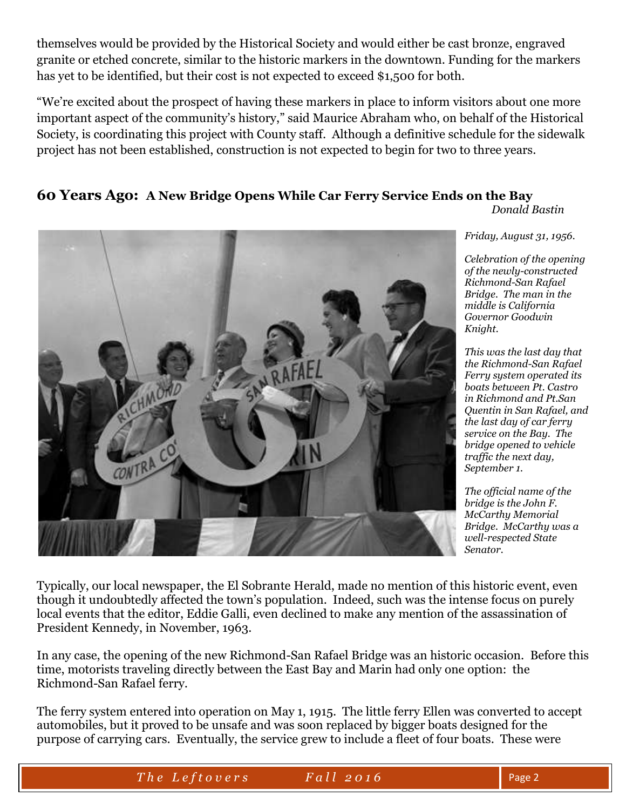themselves would be provided by the Historical Society and would either be cast bronze, engraved granite or etched concrete, similar to the historic markers in the downtown. Funding for the markers has yet to be identified, but their cost is not expected to exceed \$1,500 for both.

"We're excited about the prospect of having these markers in place to inform visitors about one more important aspect of the community's history," said Maurice Abraham who, on behalf of the Historical Society, is coordinating this project with County staff. Although a definitive schedule for the sidewalk project has not been established, construction is not expected to begin for two to three years.

## **60 Years Ago: A New Bridge Opens While Car Ferry Service Ends on the Bay**

*Donald Bastin*



*Friday, August 31, 1956.*

*Celebration of the opening of the newly-constructed Richmond-San Rafael Bridge. The man in the middle is California Governor Goodwin Knight.* 

*This was the last day that the Richmond-San Rafael Ferry system operated its boats between Pt. Castro in Richmond and Pt.San Quentin in San Rafael, and the last day of car ferry service on the Bay. The bridge opened to vehicle traffic the next day, September 1.*

*The official name of the bridge is the John F. McCarthy Memorial Bridge. McCarthy was a well-respected State Senator.*

Typically, our local newspaper, the El Sobrante Herald, made no mention of this historic event, even though it undoubtedly affected the town's population. Indeed, such was the intense focus on purely local events that the editor, Eddie Galli, even declined to make any mention of the assassination of President Kennedy, in November, 1963.

In any case, the opening of the new Richmond-San Rafael Bridge was an historic occasion. Before this time, motorists traveling directly between the East Bay and Marin had only one option: the Richmond-San Rafael ferry.

The ferry system entered into operation on May 1, 1915. The little ferry Ellen was converted to accept automobiles, but it proved to be unsafe and was soon replaced by bigger boats designed for the purpose of carrying cars. Eventually, the service grew to include a fleet of four boats. These were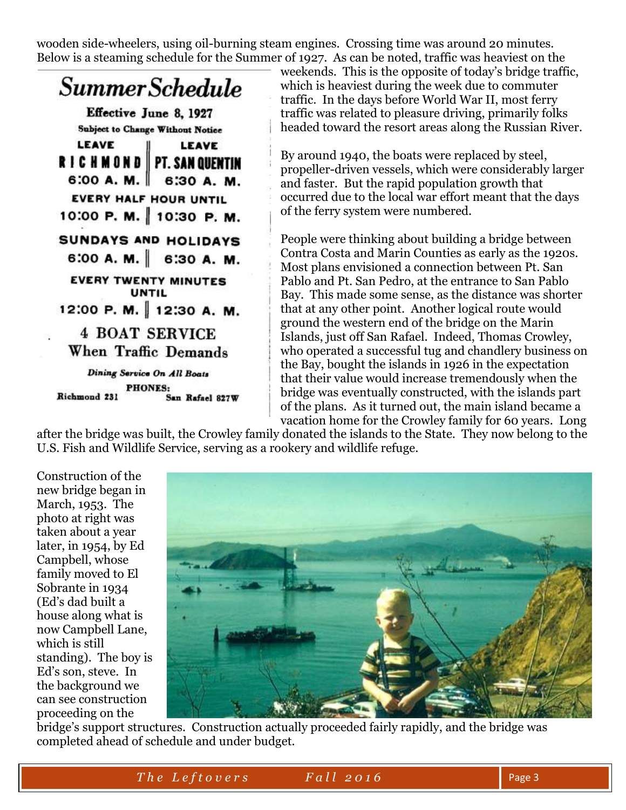wooden side-wheelers, using oil-burning steam engines. Crossing time was around 20 minutes. Below is a steaming schedule for the Summer of 1927. As can be noted, traffic was heaviest on the



weekends. This is the opposite of today's bridge traffic, which is heaviest during the week due to commuter traffic. In the days before World War II, most ferry traffic was related to pleasure driving, primarily folks headed toward the resort areas along the Russian River.

By around 1940, the boats were replaced by steel, propeller-driven vessels, which were considerably larger and faster. But the rapid population growth that occurred due to the local war effort meant that the days of the ferry system were numbered.

People were thinking about building a bridge between Contra Costa and Marin Counties as early as the 1920s. Most plans envisioned a connection between Pt. San Pablo and Pt. San Pedro, at the entrance to San Pablo Bay. This made some sense, as the distance was shorter that at any other point. Another logical route would ground the western end of the bridge on the Marin Islands, just off San Rafael. Indeed, Thomas Crowley, who operated a successful tug and chandlery business on the Bay, bought the islands in 1926 in the expectation that their value would increase tremendously when the bridge was eventually constructed, with the islands part of the plans. As it turned out, the main island became a vacation home for the Crowley family for 60 years. Long

after the bridge was built, the Crowley family donated the islands to the State. They now belong to the U.S. Fish and Wildlife Service, serving as a rookery and wildlife refuge.

Construction of the new bridge began in March, 1953. The photo at right was taken about a year later, in 1954, by Ed Campbell, whose family moved to El Sobrante in 1934 (Ed's dad built a house along what is now Campbell Lane, which is still standing). The boy is Ed's son, steve. In the background we can see construction proceeding on the



bridge's support structures. Construction actually proceeded fairly rapidly, and the bridge was completed ahead of schedule and under budget.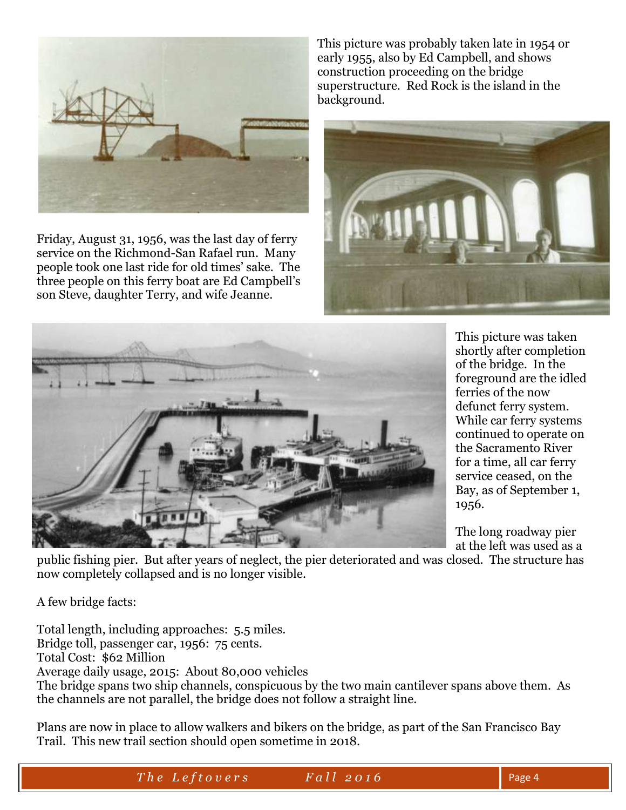

Friday, August 31, 1956, was the last day of ferry service on the Richmond-San Rafael run. Many people took one last ride for old times' sake. The three people on this ferry boat are Ed Campbell's son Steve, daughter Terry, and wife Jeanne.

This picture was probably taken late in 1954 or early 1955, also by Ed Campbell, and shows construction proceeding on the bridge superstructure. Red Rock is the island in the background.





This picture was taken shortly after completion of the bridge. In the foreground are the idled ferries of the now defunct ferry system. While car ferry systems continued to operate on the Sacramento River for a time, all car ferry service ceased, on the Bay, as of September 1, 1956.

The long roadway pier at the left was used as a

public fishing pier. But after years of neglect, the pier deteriorated and was closed. The structure has now completely collapsed and is no longer visible.

A few bridge facts:

Total length, including approaches: 5.5 miles. Bridge toll, passenger car, 1956: 75 cents. Total Cost: \$62 Million Average daily usage, 2015: About 80,000 vehicles The bridge spans two ship channels, conspicuous by the two main cantilever spans above them. As the channels are not parallel, the bridge does not follow a straight line.

Plans are now in place to allow walkers and bikers on the bridge, as part of the San Francisco Bay Trail. This new trail section should open sometime in 2018.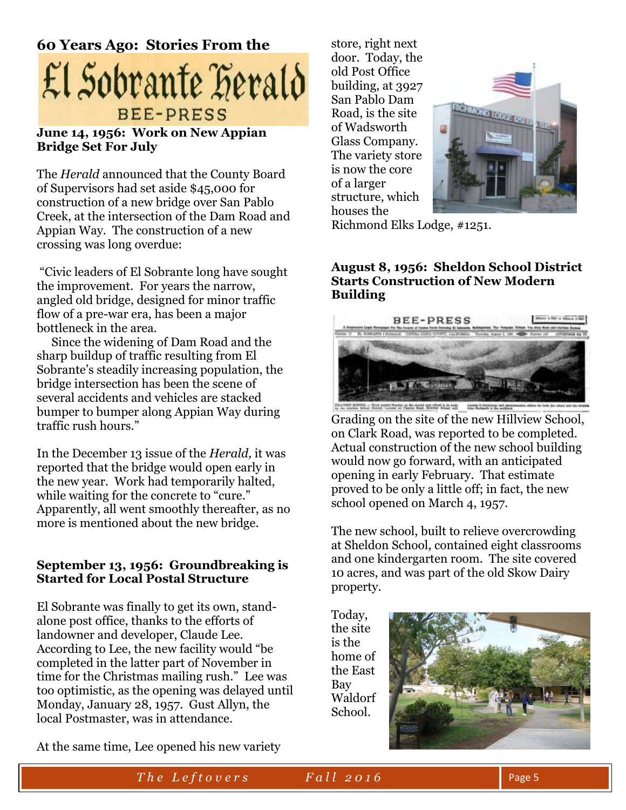

#### **June 14, 1956: Work on New Appian Bridge Set For July**

The *Herald* announced that the County Board of Supervisors had set aside \$45,000 for construction of a new bridge over San Pablo Creek, at the intersection of the Dam Road and Appian Way. The construction of a new crossing was long overdue:

"Civic leaders of El Sobrante long have sought the improvement. For years the narrow, angled old bridge, designed for minor traffic flow of a pre-war era, has been a major bottleneck in the area.

 Since the widening of Dam Road and the sharp buildup of traffic resulting from El Sobrante's steadily increasing population, the bridge intersection has been the scene of several accidents and vehicles are stacked bumper to bumper along Appian Way during traffic rush hours."

In the December 13 issue of the *Herald,* it was reported that the bridge would open early in the new year. Work had temporarily halted, while waiting for the concrete to "cure." Apparently, all went smoothly thereafter, as no more is mentioned about the new bridge.

#### **September 13, 1956: Groundbreaking is Started for Local Postal Structure**

El Sobrante was finally to get its own, standalone post office, thanks to the efforts of landowner and developer, Claude Lee. According to Lee, the new facility would "be completed in the latter part of November in time for the Christmas mailing rush." Lee was too optimistic, as the opening was delayed until Monday, January 28, 1957. Gust Allyn, the local Postmaster, was in attendance.

store, right next door. Today, the old Post Office building, at 3927 San Pablo Dam Road, is the site of Wadsworth Glass Company. The variety store is now the core of a larger structure, which houses the



Richmond Elks Lodge, #1251.

#### **August 8, 1956: Sheldon School District Starts Construction of New Modern Building**



Grading on the site of the new Hillview School, on Clark Road, was reported to be completed. Actual construction of the new school building would now go forward, with an anticipated opening in early February. That estimate proved to be only a little off; in fact, the new school opened on March 4, 1957.

The new school, built to relieve overcrowding at Sheldon School, contained eight classrooms and one kindergarten room. The site covered 10 acres, and was part of the old Skow Dairy property.

Today, the site is the home of the East Bay Waldorf School.



At the same time, Lee opened his new variety